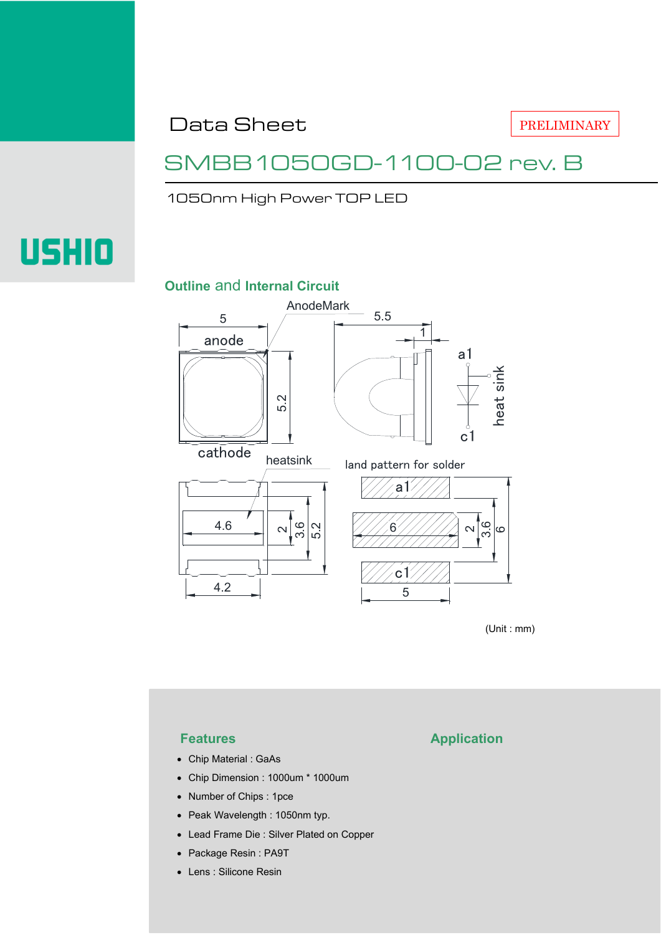Data Sheet

PRELIMINARY

### SMBB1050GD-1100-02 rev. B

1050nm High Power TOP LED

# **USHIO**

### **Outline** and **Internal Circuit**



(Unit : mm)

- Chip Material : GaAs
- Chip Dimension : 1000um \* 1000um
- Number of Chips : 1pce
- Peak Wavelength : 1050nm typ.
- Lead Frame Die : Silver Plated on Copper
- Package Resin : PA9T
- Lens : Silicone Resin

### **Features Application**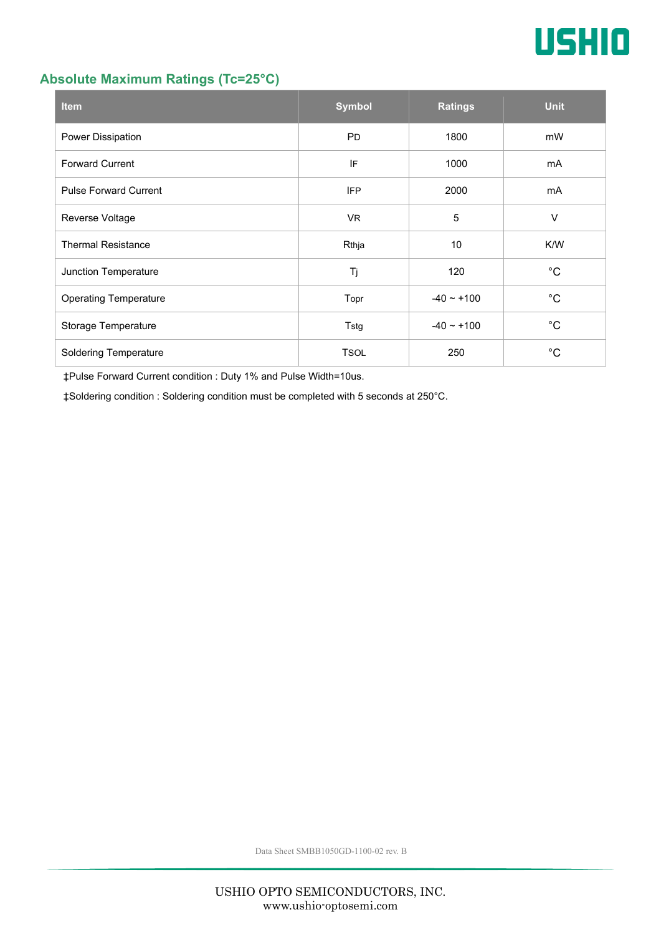

### **Absolute Maximum Ratings (Tc=25°C)**

| <b>Item</b>                  | <b>Symbol</b> | <b>Ratings</b>  | <b>Unit</b> |
|------------------------------|---------------|-----------------|-------------|
| Power Dissipation            | <b>PD</b>     | 1800            | mW          |
| <b>Forward Current</b>       | IF            | 1000            | mA          |
| <b>Pulse Forward Current</b> | <b>IFP</b>    | 2000            | mA          |
| Reverse Voltage              | <b>VR</b>     | 5               | $\vee$      |
| <b>Thermal Resistance</b>    | Rthja         | 10              | K/W         |
| Junction Temperature         | Tj            | 120             | $^{\circ}C$ |
| <b>Operating Temperature</b> | Topr          | $-40 \sim +100$ | $^{\circ}C$ |
| Storage Temperature          | Tstg          | $-40 - +100$    | $^{\circ}C$ |
| <b>Soldering Temperature</b> | <b>TSOL</b>   | 250             | °С          |

‡Pulse Forward Current condition : Duty 1% and Pulse Width=10us.

‡Soldering condition : Soldering condition must be completed with 5 seconds at 250°C.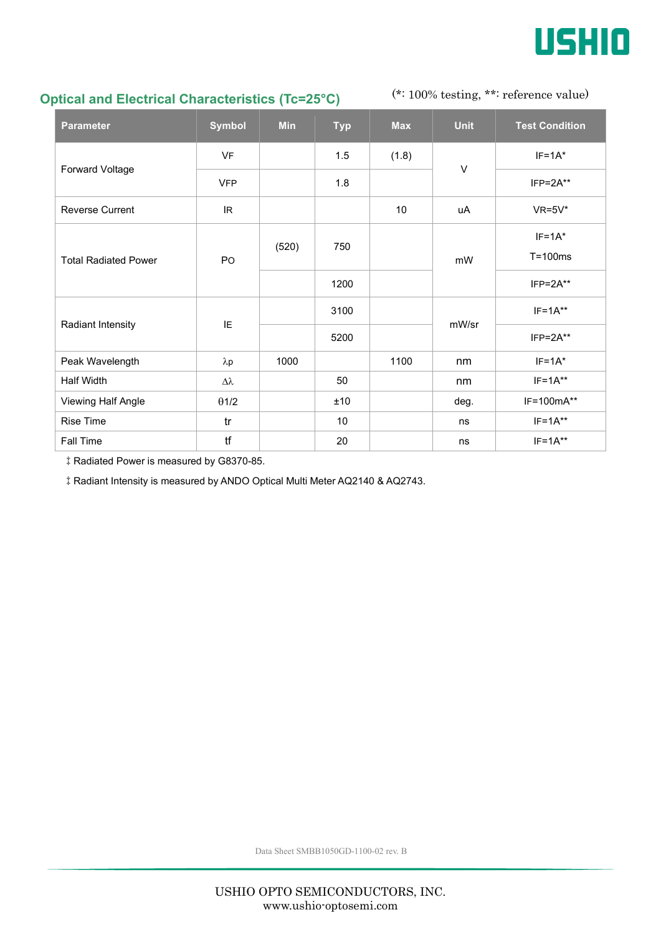

### **Optical and Electrical Characteristics (Tc=25°C)**

(\*: 100% testing, \*\*: reference value)

| <b>Parameter</b>            | <b>Symbol</b>    | <b>Min</b> | <b>Typ</b> | <b>Max</b> | <b>Unit</b> | <b>Test Condition</b> |
|-----------------------------|------------------|------------|------------|------------|-------------|-----------------------|
| Forward Voltage             | <b>VF</b>        |            | 1.5        | (1.8)      | V           | $IF=1A*$              |
|                             | <b>VFP</b>       |            | 1.8        |            |             | $IFP = 2A**$          |
| <b>Reverse Current</b>      | IR               |            |            | 10         | uA          | $VR=5V^*$             |
| <b>Total Radiated Power</b> | PO               | (520)      | 750        |            | mW          | $IF=1A*$              |
|                             |                  |            |            |            |             | $T = 100ms$           |
|                             |                  |            | 1200       |            |             | $IFP = 2A**$          |
| Radiant Intensity           | IE               |            | 3100       |            | mW/sr       | $IF=1A**$             |
|                             |                  |            | 5200       |            |             | $IFP=2A**$            |
| Peak Wavelength             | $\lambda p$      | 1000       |            | 1100       | nm          | $IF=1A^*$             |
| Half Width                  | $\Delta \lambda$ |            | 50         |            | nm          | $IF=1A**$             |
| Viewing Half Angle          | $\theta$ 1/2     |            | ±10        |            | deg.        | IF=100mA**            |
| <b>Rise Time</b>            | tr               |            | 10         |            | ns          | $IF=1A**$             |
| Fall Time                   | tf               |            | 20         |            | ns          | $IF=1A**$             |

‡Radiated Power is measured by G8370-85.

‡Radiant Intensity is measured by ANDO Optical Multi Meter AQ2140 & AQ2743.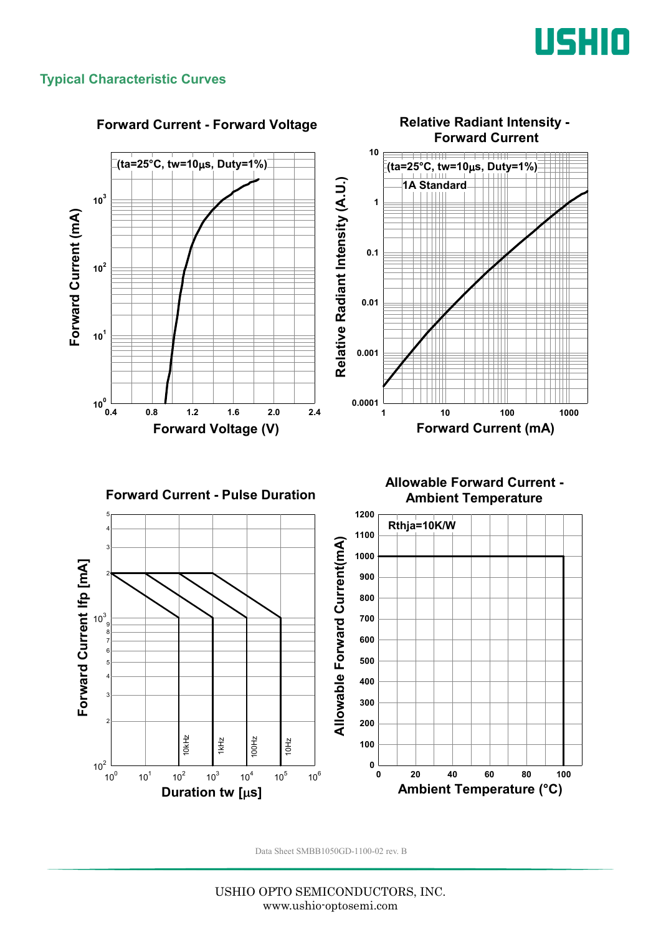

### **Typical Characteristic Curves**

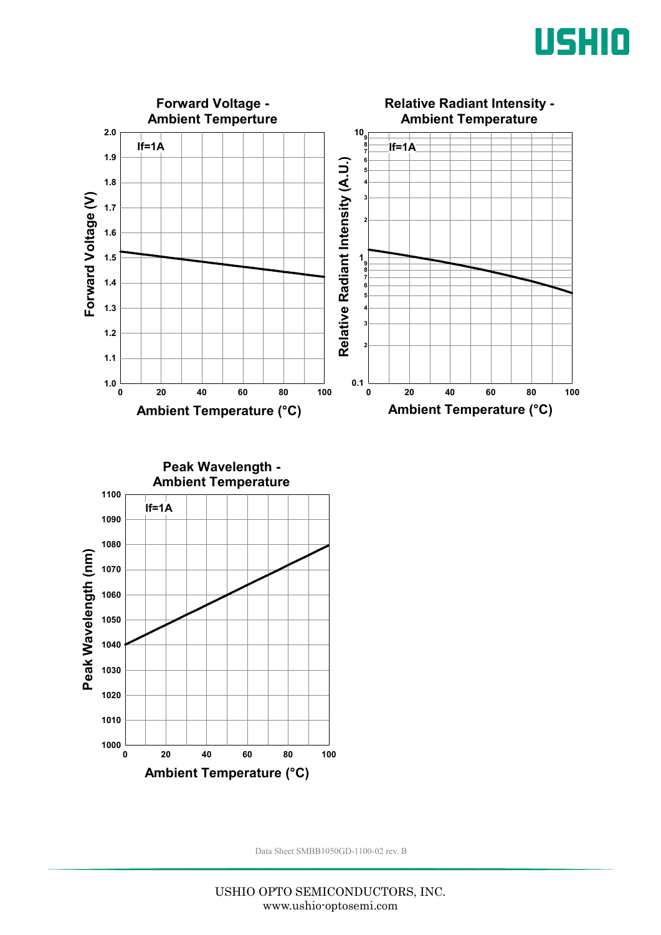



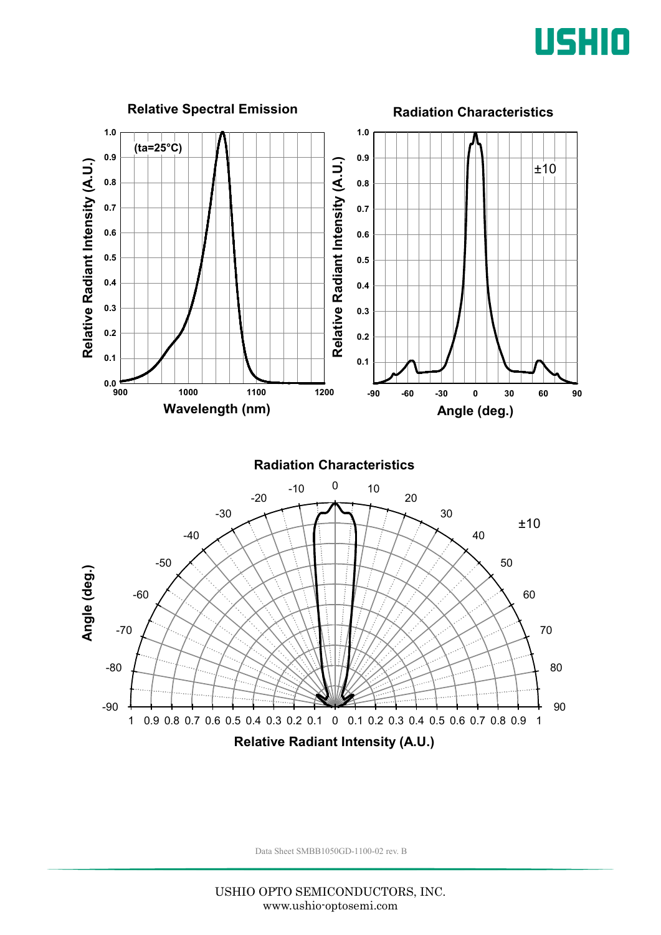

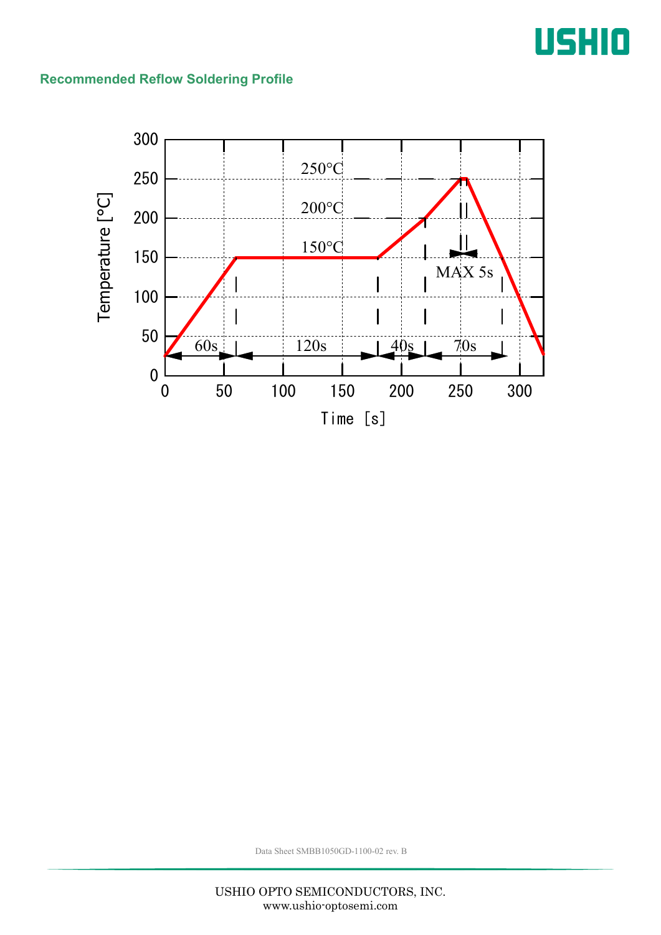## USHIO

### **Recommended Reflow Soldering Profile**

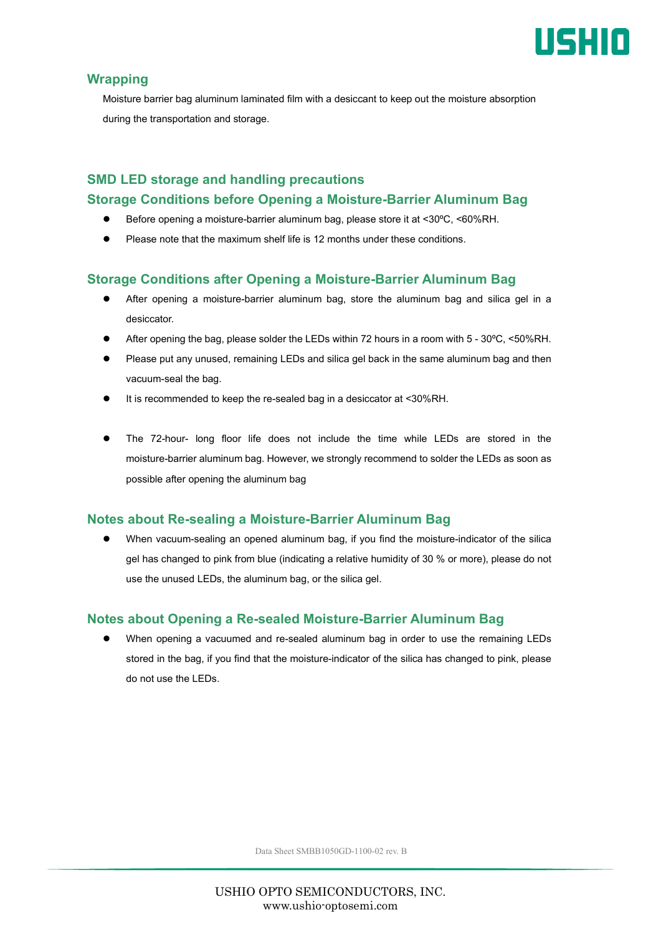

### **Wrapping**

Moisture barrier bag aluminum laminated film with a desiccant to keep out the moisture absorption during the transportation and storage.

### **SMD LED storage and handling precautions Storage Conditions before Opening a Moisture-Barrier Aluminum Bag**

- Before opening a moisture-barrier aluminum bag, please store it at <30ºC, <60%RH.
- Please note that the maximum shelf life is 12 months under these conditions.

### **Storage Conditions after Opening a Moisture-Barrier Aluminum Bag**

- After opening a moisture-barrier aluminum bag, store the aluminum bag and silica gel in a desiccator.
- After opening the bag, please solder the LEDs within 72 hours in a room with 5 30ºC, <50%RH.
- Please put any unused, remaining LEDs and silica gel back in the same aluminum bag and then vacuum-seal the bag.
- It is recommended to keep the re-sealed bag in a desiccator at <30%RH.
- The 72-hour- long floor life does not include the time while LEDs are stored in the moisture-barrier aluminum bag. However, we strongly recommend to solder the LEDs as soon as possible after opening the aluminum bag

### **Notes about Re-sealing a Moisture-Barrier Aluminum Bag**

 When vacuum-sealing an opened aluminum bag, if you find the moisture-indicator of the silica gel has changed to pink from blue (indicating a relative humidity of 30 % or more), please do not use the unused LEDs, the aluminum bag, or the silica gel.

### **Notes about Opening a Re-sealed Moisture-Barrier Aluminum Bag**

 When opening a vacuumed and re-sealed aluminum bag in order to use the remaining LEDs stored in the bag, if you find that the moisture-indicator of the silica has changed to pink, please do not use the LEDs.